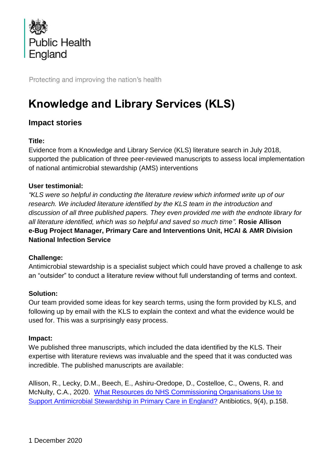

Protecting and improving the nation's health

# **Knowledge and Library Services (KLS)**

# **Impact stories**

## **Title:**

Evidence from a Knowledge and Library Service (KLS) literature search in July 2018, supported the publication of three peer-reviewed manuscripts to assess local implementation of national antimicrobial stewardship (AMS) interventions

## **User testimonial:**

*"KLS were so helpful in conducting the literature review which informed write up of our research. We included literature identified by the KLS team in the introduction and discussion of all three published papers. They even provided me with the endnote library for all literature identified, which was so helpful and saved so much time".* **Rosie Allison e-Bug Project Manager, Primary Care and Interventions Unit, HCAI & AMR Division National Infection Service**

#### **Challenge:**

Antimicrobial stewardship is a specialist subject which could have proved a challenge to ask an "outsider" to conduct a literature review without full understanding of terms and context.

#### **Solution:**

Our team provided some ideas for key search terms, using the form provided by KLS, and following up by email with the KLS to explain the context and what the evidence would be used for. This was a surprisingly easy process.

#### **Impact:**

We published three manuscripts, which included the data identified by the KLS. Their expertise with literature reviews was invaluable and the speed that it was conducted was incredible. The published manuscripts are available:

Allison, R., Lecky, D.M., Beech, E., Ashiru-Oredope, D., Costelloe, C., Owens, R. and McNulty, C.A., 2020. [What Resources do NHS Commissioning Organisations Use to](https://www.mdpi.com/2079-6382/9/4/158/htm)  [Support Antimicrobial Stewardship in Primary Care in England?](https://www.mdpi.com/2079-6382/9/4/158/htm) Antibiotics, 9(4), p.158.